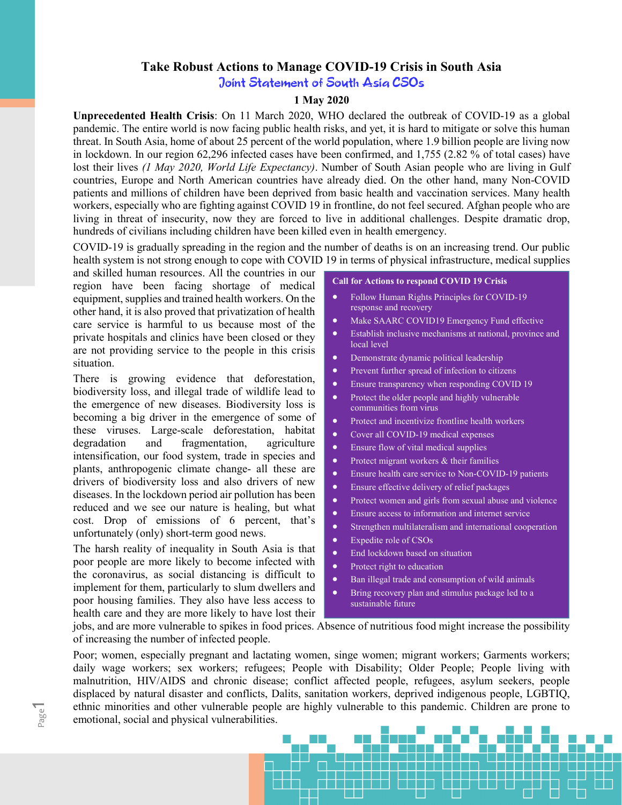# Take Robust Actions to Manage COVID-19 Crisis in South Asia

Joint Statement of South Asia CSOs

## 1 May 2020

Unprecedented Health Crisis: On 11 March 2020, WHO declared the outbreak of COVID-19 as a global pandemic. The entire world is now facing public health risks, and yet, it is hard to mitigate or solve this human threat. In South Asia, home of about 25 percent of the world population, where 1.9 billion people are living now in lockdown. In our region 62,296 infected cases have been confirmed, and 1,755 (2.82 % of total cases) have lost their lives (1 May 2020, World Life Expectancy). Number of South Asian people who are living in Gulf countries, Europe and North American countries have already died. On the other hand, many Non-COVID patients and millions of children have been deprived from basic health and vaccination services. Many health workers, especially who are fighting against COVID 19 in frontline, do not feel secured. Afghan people who are living in threat of insecurity, now they are forced to live in additional challenges. Despite dramatic drop, hundreds of civilians including children have been killed even in health emergency.

COVID-19 is gradually spreading in the region and the number of deaths is on an increasing trend. Our public health system is not strong enough to cope with COVID 19 in terms of physical infrastructure, medical supplies

and skilled human resources. All the countries in our region have been facing shortage of medical equipment, supplies and trained health workers. On the other hand, it is also proved that privatization of health care service is harmful to us because most of the private hospitals and clinics have been closed or they are not providing service to the people in this crisis situation.

There is growing evidence that deforestation, biodiversity loss, and illegal trade of wildlife lead to the emergence of new diseases. Biodiversity loss is becoming a big driver in the emergence of some of these viruses. Large-scale deforestation, habitat degradation and fragmentation, agriculture intensification, our food system, trade in species and plants, anthropogenic climate change- all these are drivers of biodiversity loss and also drivers of new diseases. In the lockdown period air pollution has been reduced and we see our nature is healing, but what cost. Drop of emissions of 6 percent, that's unfortunately (only) short-term good news.

The harsh reality of inequality in South Asia is that poor people are more likely to become infected with the coronavirus, as social distancing is difficult to implement for them, particularly to slum dwellers and poor housing families. They also have less access to health care and they are more likely to have lost their

 $\overline{\phantom{0}}$ 

#### Call for Actions to respond COVID 19 Crisis

- Follow Human Rights Principles for COVID-19 response and recovery
- Make SAARC COVID19 Emergency Fund effective
- Establish inclusive mechanisms at national, province and local level
- Demonstrate dynamic political leadership
- Prevent further spread of infection to citizens
- Ensure transparency when responding COVID 19
- Protect the older people and highly vulnerable communities from virus
- Protect and incentivize frontline health workers
- Cover all COVID-19 medical expenses
- Ensure flow of vital medical supplies
- Protect migrant workers & their families
- Ensure health care service to Non-COVID-19 patients
- Ensure effective delivery of relief packages
- Protect women and girls from sexual abuse and violence
- Ensure access to information and internet service
- Strengthen multilateralism and international cooperation
- Expedite role of CSOs
- End lockdown based on situation
- Protect right to education
- Ban illegal trade and consumption of wild animals
- Bring recovery plan and stimulus package led to a sustainable future

jobs, and are more vulnerable to spikes in food prices. Absence of nutritious food might increase the possibility of increasing the number of infected people.

Page emotional, social and physical vulnerabilities. ethnic minorities and other vulnerable people are highly vulnerable to this pandemic. Children are prone to Poor; women, especially pregnant and lactating women, singe women; migrant workers; Garments workers; daily wage workers; sex workers; refugees; People with Disability; Older People; People living with malnutrition, HIV/AIDS and chronic disease; conflict affected people, refugees, asylum seekers, people displaced by natural disaster and conflicts, Dalits, sanitation workers, deprived indigenous people, LGBTIQ,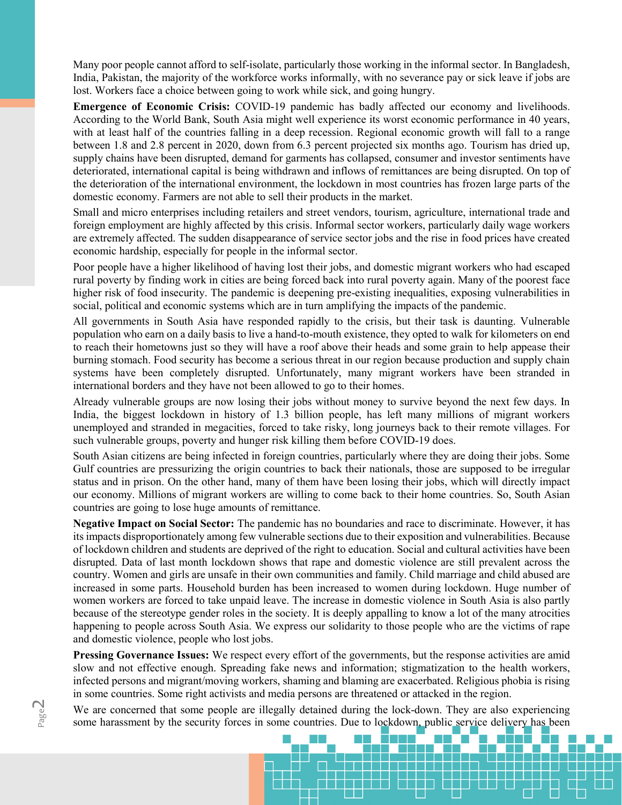Many poor people cannot afford to self-isolate, particularly those working in the informal sector. In Bangladesh, India, Pakistan, the majority of the workforce works informally, with no severance pay or sick leave if jobs are lost. Workers face a choice between going to work while sick, and going hungry.

Emergence of Economic Crisis: COVID-19 pandemic has badly affected our economy and livelihoods. According to the World Bank, South Asia might well experience its worst economic performance in 40 years, with at least half of the countries falling in a deep recession. Regional economic growth will fall to a range between 1.8 and 2.8 percent in 2020, down from 6.3 percent projected six months ago. Tourism has dried up, supply chains have been disrupted, demand for garments has collapsed, consumer and investor sentiments have deteriorated, international capital is being withdrawn and inflows of remittances are being disrupted. On top of the deterioration of the international environment, the lockdown in most countries has frozen large parts of the domestic economy. Farmers are not able to sell their products in the market.

Small and micro enterprises including retailers and street vendors, tourism, agriculture, international trade and foreign employment are highly affected by this crisis. Informal sector workers, particularly daily wage workers are extremely affected. The sudden disappearance of service sector jobs and the rise in food prices have created economic hardship, especially for people in the informal sector.

Poor people have a higher likelihood of having lost their jobs, and domestic migrant workers who had escaped rural poverty by finding work in cities are being forced back into rural poverty again. Many of the poorest face higher risk of food insecurity. The pandemic is deepening pre-existing inequalities, exposing vulnerabilities in social, political and economic systems which are in turn amplifying the impacts of the pandemic.

All governments in South Asia have responded rapidly to the crisis, but their task is daunting. Vulnerable population who earn on a daily basis to live a hand-to-mouth existence, they opted to walk for kilometers on end to reach their hometowns just so they will have a roof above their heads and some grain to help appease their burning stomach. Food security has become a serious threat in our region because production and supply chain systems have been completely disrupted. Unfortunately, many migrant workers have been stranded in international borders and they have not been allowed to go to their homes.

Already vulnerable groups are now losing their jobs without money to survive beyond the next few days. In India, the biggest lockdown in history of 1.3 billion people, has left many millions of migrant workers unemployed and stranded in megacities, forced to take risky, long journeys back to their remote villages. For such vulnerable groups, poverty and hunger risk killing them before COVID-19 does.

South Asian citizens are being infected in foreign countries, particularly where they are doing their jobs. Some Gulf countries are pressurizing the origin countries to back their nationals, those are supposed to be irregular status and in prison. On the other hand, many of them have been losing their jobs, which will directly impact our economy. Millions of migrant workers are willing to come back to their home countries. So, South Asian countries are going to lose huge amounts of remittance.

Negative Impact on Social Sector: The pandemic has no boundaries and race to discriminate. However, it has its impacts disproportionately among few vulnerable sections due to their exposition and vulnerabilities. Because of lockdown children and students are deprived of the right to education. Social and cultural activities have been disrupted. Data of last month lockdown shows that rape and domestic violence are still prevalent across the country. Women and girls are unsafe in their own communities and family. Child marriage and child abused are increased in some parts. Household burden has been increased to women during lockdown. Huge number of women workers are forced to take unpaid leave. The increase in domestic violence in South Asia is also partly because of the stereotype gender roles in the society. It is deeply appalling to know a lot of the many atrocities happening to people across South Asia. We express our solidarity to those people who are the victims of rape and domestic violence, people who lost jobs.

Pressing Governance Issues: We respect every effort of the governments, but the response activities are amid slow and not effective enough. Spreading fake news and information; stigmatization to the health workers, infected persons and migrant/moving workers, shaming and blaming are exacerbated. Religious phobia is rising in some countries. Some right activists and media persons are threatened or attacked in the region.

we are concerned that some people are inegatly detained during the lock-down. They are also experiencing<br>E some harassment by the security forces in some countries. Due to lockdown, public service delivery has been We are concerned that some people are illegally detained during the lock-down. They are also experiencing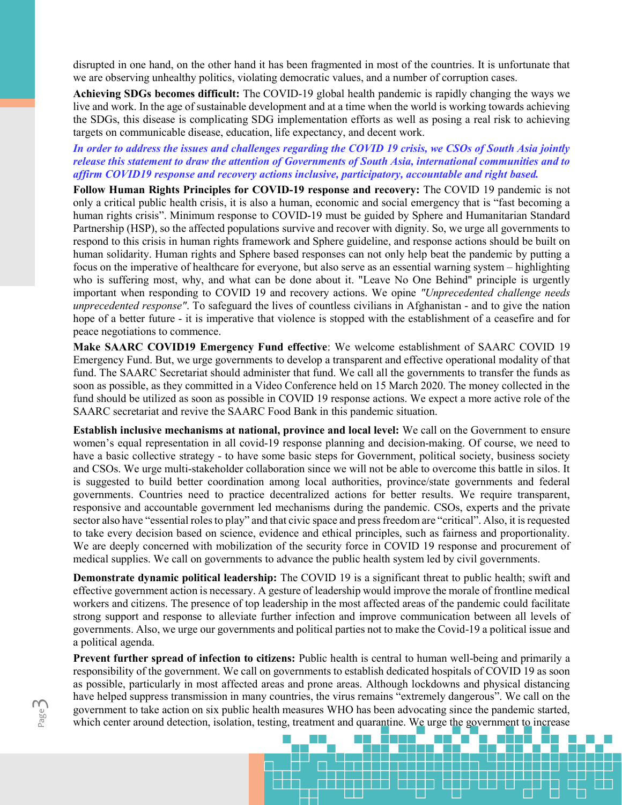disrupted in one hand, on the other hand it has been fragmented in most of the countries. It is unfortunate that we are observing unhealthy politics, violating democratic values, and a number of corruption cases.

Achieving SDGs becomes difficult: The COVID-19 global health pandemic is rapidly changing the ways we live and work. In the age of sustainable development and at a time when the world is working towards achieving the SDGs, this disease is complicating SDG implementation efforts as well as posing a real risk to achieving targets on communicable disease, education, life expectancy, and decent work.

## In order to address the issues and challenges regarding the COVID 19 crisis, we CSOs of South Asia jointly release this statement to draw the attention of Governments of South Asia, international communities and to affirm COVID19 response and recovery actions inclusive, participatory, accountable and right based.

Follow Human Rights Principles for COVID-19 response and recovery: The COVID 19 pandemic is not only a critical public health crisis, it is also a human, economic and social emergency that is "fast becoming a human rights crisis". Minimum response to COVID-19 must be guided by Sphere and Humanitarian Standard Partnership (HSP), so the affected populations survive and recover with dignity. So, we urge all governments to respond to this crisis in human rights framework and Sphere guideline, and response actions should be built on human solidarity. Human rights and Sphere based responses can not only help beat the pandemic by putting a focus on the imperative of healthcare for everyone, but also serve as an essential warning system – highlighting who is suffering most, why, and what can be done about it. "Leave No One Behind" principle is urgently important when responding to COVID 19 and recovery actions. We opine "Unprecedented challenge needs unprecedented response". To safeguard the lives of countless civilians in Afghanistan - and to give the nation hope of a better future - it is imperative that violence is stopped with the establishment of a ceasefire and for peace negotiations to commence.

Make SAARC COVID19 Emergency Fund effective: We welcome establishment of SAARC COVID 19 Emergency Fund. But, we urge governments to develop a transparent and effective operational modality of that fund. The SAARC Secretariat should administer that fund. We call all the governments to transfer the funds as soon as possible, as they committed in a Video Conference held on 15 March 2020. The money collected in the fund should be utilized as soon as possible in COVID 19 response actions. We expect a more active role of the SAARC secretariat and revive the SAARC Food Bank in this pandemic situation.

Establish inclusive mechanisms at national, province and local level: We call on the Government to ensure women's equal representation in all covid-19 response planning and decision-making. Of course, we need to have a basic collective strategy - to have some basic steps for Government, political society, business society and CSOs. We urge multi-stakeholder collaboration since we will not be able to overcome this battle in silos. It is suggested to build better coordination among local authorities, province/state governments and federal governments. Countries need to practice decentralized actions for better results. We require transparent, responsive and accountable government led mechanisms during the pandemic. CSOs, experts and the private sector also have "essential roles to play" and that civic space and press freedom are "critical". Also, it is requested to take every decision based on science, evidence and ethical principles, such as fairness and proportionality. We are deeply concerned with mobilization of the security force in COVID 19 response and procurement of medical supplies. We call on governments to advance the public health system led by civil governments.

Demonstrate dynamic political leadership: The COVID 19 is a significant threat to public health; swift and effective government action is necessary. A gesture of leadership would improve the morale of frontline medical workers and citizens. The presence of top leadership in the most affected areas of the pandemic could facilitate strong support and response to alleviate further infection and improve communication between all levels of governments. Also, we urge our governments and political parties not to make the Covid-19 a political issue and a political agenda.

sovernment to take action on six public heath measures who has been advocating since the pandemic statied,<br><sup>R</sup>apple to the center around detection, isolation, testing, treatment and quarantine. We urge the government to in government to take action on six public health measures WHO has been advocating since the pandemic started, Prevent further spread of infection to citizens: Public health is central to human well-being and primarily a responsibility of the government. We call on governments to establish dedicated hospitals of COVID 19 as soon as possible, particularly in most affected areas and prone areas. Although lockdowns and physical distancing have helped suppress transmission in many countries, the virus remains "extremely dangerous". We call on the

 $\cup$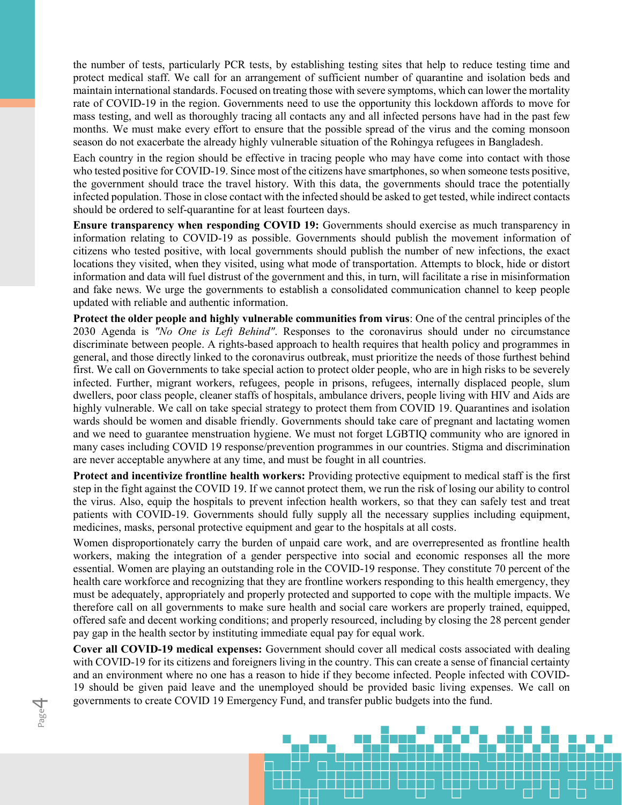the number of tests, particularly PCR tests, by establishing testing sites that help to reduce testing time and protect medical staff. We call for an arrangement of sufficient number of quarantine and isolation beds and maintain international standards. Focused on treating those with severe symptoms, which can lower the mortality rate of COVID-19 in the region. Governments need to use the opportunity this lockdown affords to move for mass testing, and well as thoroughly tracing all contacts any and all infected persons have had in the past few months. We must make every effort to ensure that the possible spread of the virus and the coming monsoon season do not exacerbate the already highly vulnerable situation of the Rohingya refugees in Bangladesh.

Each country in the region should be effective in tracing people who may have come into contact with those who tested positive for COVID-19. Since most of the citizens have smartphones, so when someone tests positive, the government should trace the travel history. With this data, the governments should trace the potentially infected population. Those in close contact with the infected should be asked to get tested, while indirect contacts should be ordered to self-quarantine for at least fourteen days.

Ensure transparency when responding COVID 19: Governments should exercise as much transparency in information relating to COVID-19 as possible. Governments should publish the movement information of citizens who tested positive, with local governments should publish the number of new infections, the exact locations they visited, when they visited, using what mode of transportation. Attempts to block, hide or distort information and data will fuel distrust of the government and this, in turn, will facilitate a rise in misinformation and fake news. We urge the governments to establish a consolidated communication channel to keep people updated with reliable and authentic information.

Protect the older people and highly vulnerable communities from virus: One of the central principles of the 2030 Agenda is "No One is Left Behind". Responses to the coronavirus should under no circumstance discriminate between people. A rights-based approach to health requires that health policy and programmes in general, and those directly linked to the coronavirus outbreak, must prioritize the needs of those furthest behind first. We call on Governments to take special action to protect older people, who are in high risks to be severely infected. Further, migrant workers, refugees, people in prisons, refugees, internally displaced people, slum dwellers, poor class people, cleaner staffs of hospitals, ambulance drivers, people living with HIV and Aids are highly vulnerable. We call on take special strategy to protect them from COVID 19. Quarantines and isolation wards should be women and disable friendly. Governments should take care of pregnant and lactating women and we need to guarantee menstruation hygiene. We must not forget LGBTIQ community who are ignored in many cases including COVID 19 response/prevention programmes in our countries. Stigma and discrimination are never acceptable anywhere at any time, and must be fought in all countries.

Protect and incentivize frontline health workers: Providing protective equipment to medical staff is the first step in the fight against the COVID 19. If we cannot protect them, we run the risk of losing our ability to control the virus. Also, equip the hospitals to prevent infection health workers, so that they can safely test and treat patients with COVID-19. Governments should fully supply all the necessary supplies including equipment, medicines, masks, personal protective equipment and gear to the hospitals at all costs.

Women disproportionately carry the burden of unpaid care work, and are overrepresented as frontline health workers, making the integration of a gender perspective into social and economic responses all the more essential. Women are playing an outstanding role in the COVID-19 response. They constitute 70 percent of the health care workforce and recognizing that they are frontline workers responding to this health emergency, they must be adequately, appropriately and properly protected and supported to cope with the multiple impacts. We therefore call on all governments to make sure health and social care workers are properly trained, equipped, offered safe and decent working conditions; and properly resourced, including by closing the 28 percent gender pay gap in the health sector by instituting immediate equal pay for equal work.

Cover all COVID-19 medical expenses: Government should cover all medical costs associated with dealing with COVID-19 for its citizens and foreigners living in the country. This can create a sense of financial certainty and an environment where no one has a reason to hide if they become infected. People infected with COVID-19 should be given paid leave and the unemployed should be provided basic living expenses. We call on governments to create COVID 19 Emergency Fund, and transfer public budgets into the fund.

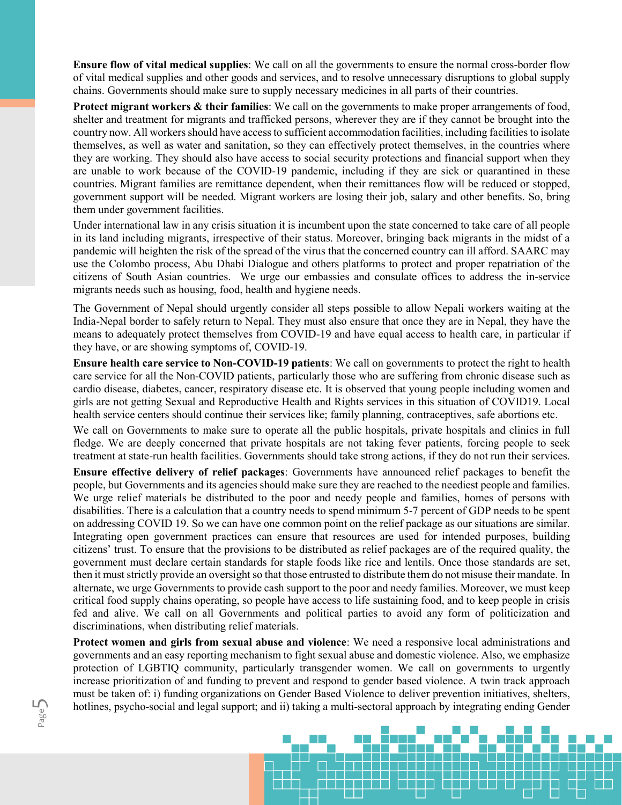Ensure flow of vital medical supplies: We call on all the governments to ensure the normal cross-border flow of vital medical supplies and other goods and services, and to resolve unnecessary disruptions to global supply chains. Governments should make sure to supply necessary medicines in all parts of their countries.

Protect migrant workers & their families: We call on the governments to make proper arrangements of food, shelter and treatment for migrants and trafficked persons, wherever they are if they cannot be brought into the country now. All workers should have access to sufficient accommodation facilities, including facilities to isolate themselves, as well as water and sanitation, so they can effectively protect themselves, in the countries where they are working. They should also have access to social security protections and financial support when they are unable to work because of the COVID-19 pandemic, including if they are sick or quarantined in these countries. Migrant families are remittance dependent, when their remittances flow will be reduced or stopped, government support will be needed. Migrant workers are losing their job, salary and other benefits. So, bring them under government facilities.

Under international law in any crisis situation it is incumbent upon the state concerned to take care of all people in its land including migrants, irrespective of their status. Moreover, bringing back migrants in the midst of a pandemic will heighten the risk of the spread of the virus that the concerned country can ill afford. SAARC may use the Colombo process, Abu Dhabi Dialogue and others platforms to protect and proper repatriation of the citizens of South Asian countries. We urge our embassies and consulate offices to address the in-service migrants needs such as housing, food, health and hygiene needs.

The Government of Nepal should urgently consider all steps possible to allow Nepali workers waiting at the India-Nepal border to safely return to Nepal. They must also ensure that once they are in Nepal, they have the means to adequately protect themselves from COVID-19 and have equal access to health care, in particular if they have, or are showing symptoms of, COVID-19.

Ensure health care service to Non-COVID-19 patients: We call on governments to protect the right to health care service for all the Non-COVID patients, particularly those who are suffering from chronic disease such as cardio disease, diabetes, cancer, respiratory disease etc. It is observed that young people including women and girls are not getting Sexual and Reproductive Health and Rights services in this situation of COVID19. Local health service centers should continue their services like; family planning, contraceptives, safe abortions etc.

We call on Governments to make sure to operate all the public hospitals, private hospitals and clinics in full fledge. We are deeply concerned that private hospitals are not taking fever patients, forcing people to seek treatment at state-run health facilities. Governments should take strong actions, if they do not run their services.

Ensure effective delivery of relief packages: Governments have announced relief packages to benefit the people, but Governments and its agencies should make sure they are reached to the neediest people and families. We urge relief materials be distributed to the poor and needy people and families, homes of persons with disabilities. There is a calculation that a country needs to spend minimum 5-7 percent of GDP needs to be spent on addressing COVID 19. So we can have one common point on the relief package as our situations are similar. Integrating open government practices can ensure that resources are used for intended purposes, building citizens' trust. To ensure that the provisions to be distributed as relief packages are of the required quality, the government must declare certain standards for staple foods like rice and lentils. Once those standards are set, then it must strictly provide an oversight so that those entrusted to distribute them do not misuse their mandate. In alternate, we urge Governments to provide cash support to the poor and needy families. Moreover, we must keep critical food supply chains operating, so people have access to life sustaining food, and to keep people in crisis fed and alive. We call on all Governments and political parties to avoid any form of politicization and discriminations, when distributing relief materials.

age interests provide booting and regarders. hotlines, psycho-social and legal support; and ii) taking a multi-sectoral approach by integrating ending Gender Protect women and girls from sexual abuse and violence: We need a responsive local administrations and governments and an easy reporting mechanism to fight sexual abuse and domestic violence. Also, we emphasize protection of LGBTIQ community, particularly transgender women. We call on governments to urgently increase prioritization of and funding to prevent and respond to gender based violence. A twin track approach must be taken of: i) funding organizations on Gender Based Violence to deliver prevention initiatives, shelters,



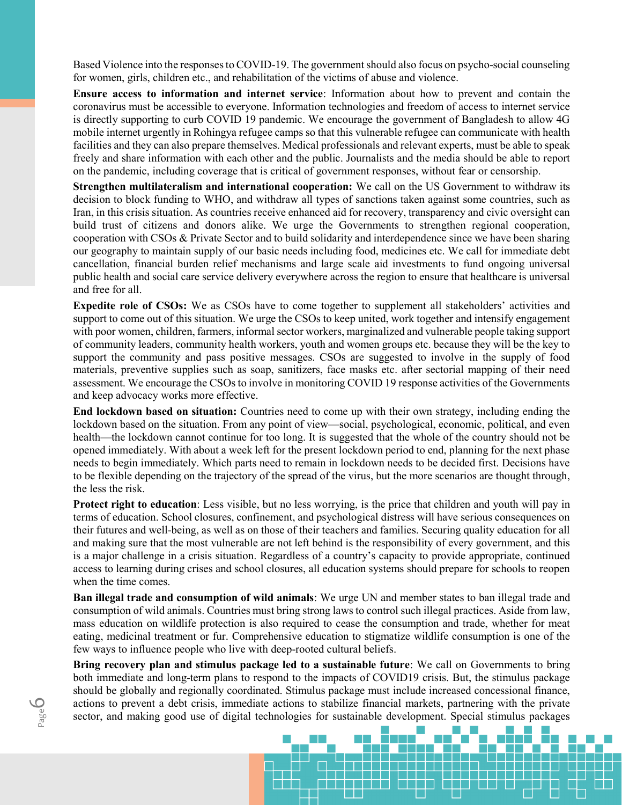Based Violence into the responses to COVID-19. The government should also focus on psycho-social counseling for women, girls, children etc., and rehabilitation of the victims of abuse and violence.

Ensure access to information and internet service: Information about how to prevent and contain the coronavirus must be accessible to everyone. Information technologies and freedom of access to internet service is directly supporting to curb COVID 19 pandemic. We encourage the government of Bangladesh to allow 4G mobile internet urgently in Rohingya refugee camps so that this vulnerable refugee can communicate with health facilities and they can also prepare themselves. Medical professionals and relevant experts, must be able to speak freely and share information with each other and the public. Journalists and the media should be able to report on the pandemic, including coverage that is critical of government responses, without fear or censorship.

Strengthen multilateralism and international cooperation: We call on the US Government to withdraw its decision to block funding to WHO, and withdraw all types of sanctions taken against some countries, such as Iran, in this crisis situation. As countries receive enhanced aid for recovery, transparency and civic oversight can build trust of citizens and donors alike. We urge the Governments to strengthen regional cooperation, cooperation with CSOs & Private Sector and to build solidarity and interdependence since we have been sharing our geography to maintain supply of our basic needs including food, medicines etc. We call for immediate debt cancellation, financial burden relief mechanisms and large scale aid investments to fund ongoing universal public health and social care service delivery everywhere across the region to ensure that healthcare is universal and free for all.

Expedite role of CSOs: We as CSOs have to come together to supplement all stakeholders' activities and support to come out of this situation. We urge the CSOs to keep united, work together and intensify engagement with poor women, children, farmers, informal sector workers, marginalized and vulnerable people taking support of community leaders, community health workers, youth and women groups etc. because they will be the key to support the community and pass positive messages. CSOs are suggested to involve in the supply of food materials, preventive supplies such as soap, sanitizers, face masks etc. after sectorial mapping of their need assessment. We encourage the CSOs to involve in monitoring COVID 19 response activities of the Governments and keep advocacy works more effective.

End lockdown based on situation: Countries need to come up with their own strategy, including ending the lockdown based on the situation. From any point of view—social, psychological, economic, political, and even health—the lockdown cannot continue for too long. It is suggested that the whole of the country should not be opened immediately. With about a week left for the present lockdown period to end, planning for the next phase needs to begin immediately. Which parts need to remain in lockdown needs to be decided first. Decisions have to be flexible depending on the trajectory of the spread of the virus, but the more scenarios are thought through, the less the risk.

Protect right to education: Less visible, but no less worrying, is the price that children and youth will pay in terms of education. School closures, confinement, and psychological distress will have serious consequences on their futures and well-being, as well as on those of their teachers and families. Securing quality education for all and making sure that the most vulnerable are not left behind is the responsibility of every government, and this is a major challenge in a crisis situation. Regardless of a country's capacity to provide appropriate, continued access to learning during crises and school closures, all education systems should prepare for schools to reopen when the time comes.

Ban illegal trade and consumption of wild animals: We urge UN and member states to ban illegal trade and consumption of wild animals. Countries must bring strong laws to control such illegal practices. Aside from law, mass education on wildlife protection is also required to cease the consumption and trade, whether for meat eating, medicinal treatment or fur. Comprehensive education to stigmatize wildlife consumption is one of the few ways to influence people who live with deep-rooted cultural beliefs.

sector, and making good use of digital technologies for sustainable development. Special stimulus packages Bring recovery plan and stimulus package led to a sustainable future: We call on Governments to bring both immediate and long-term plans to respond to the impacts of COVID19 crisis. But, the stimulus package should be globally and regionally coordinated. Stimulus package must include increased concessional finance, actions to prevent a debt crisis, immediate actions to stabilize financial markets, partnering with the private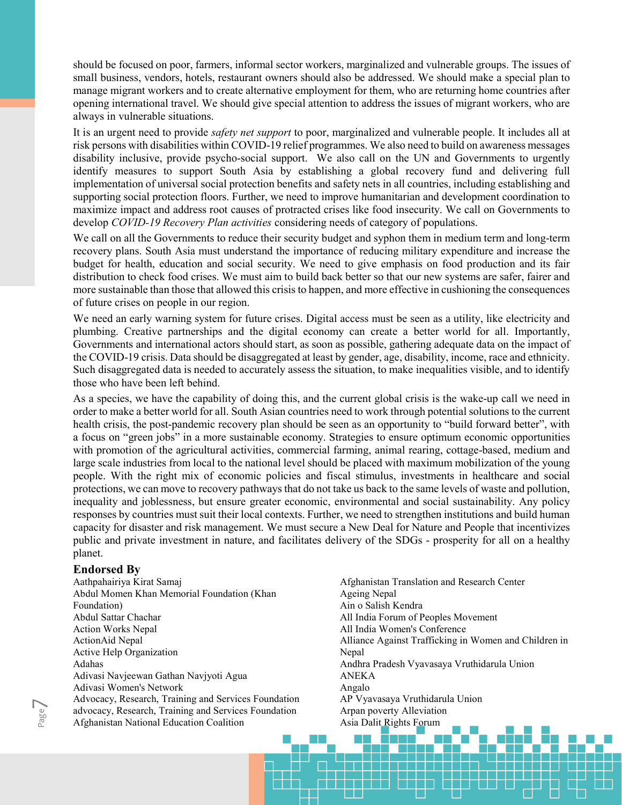should be focused on poor, farmers, informal sector workers, marginalized and vulnerable groups. The issues of small business, vendors, hotels, restaurant owners should also be addressed. We should make a special plan to manage migrant workers and to create alternative employment for them, who are returning home countries after opening international travel. We should give special attention to address the issues of migrant workers, who are always in vulnerable situations.

It is an urgent need to provide *safety net support* to poor, marginalized and vulnerable people. It includes all at risk persons with disabilities within COVID-19 relief programmes. We also need to build on awareness messages disability inclusive, provide psycho-social support. We also call on the UN and Governments to urgently identify measures to support South Asia by establishing a global recovery fund and delivering full implementation of universal social protection benefits and safety nets in all countries, including establishing and supporting social protection floors. Further, we need to improve humanitarian and development coordination to maximize impact and address root causes of protracted crises like food insecurity. We call on Governments to develop *COVID-19 Recovery Plan activities* considering needs of category of populations.

We call on all the Governments to reduce their security budget and syphon them in medium term and long-term recovery plans. South Asia must understand the importance of reducing military expenditure and increase the budget for health, education and social security. We need to give emphasis on food production and its fair distribution to check food crises. We must aim to build back better so that our new systems are safer, fairer and more sustainable than those that allowed this crisis to happen, and more effective in cushioning the consequences of future crises on people in our region.

We need an early warning system for future crises. Digital access must be seen as a utility, like electricity and plumbing. Creative partnerships and the digital economy can create a better world for all. Importantly, Governments and international actors should start, as soon as possible, gathering adequate data on the impact of the COVID-19 crisis. Data should be disaggregated at least by gender, age, disability, income, race and ethnicity. Such disaggregated data is needed to accurately assess the situation, to make inequalities visible, and to identify those who have been left behind.

As a species, we have the capability of doing this, and the current global crisis is the wake-up call we need in order to make a better world for all. South Asian countries need to work through potential solutions to the current health crisis, the post-pandemic recovery plan should be seen as an opportunity to "build forward better", with a focus on "green jobs" in a more sustainable economy. Strategies to ensure optimum economic opportunities with promotion of the agricultural activities, commercial farming, animal rearing, cottage-based, medium and large scale industries from local to the national level should be placed with maximum mobilization of the young people. With the right mix of economic policies and fiscal stimulus, investments in healthcare and social protections, we can move to recovery pathways that do not take us back to the same levels of waste and pollution, inequality and joblessness, but ensure greater economic, environmental and social sustainability. Any policy responses by countries must suit their local contexts. Further, we need to strengthen institutions and build human capacity for disaster and risk management. We must secure a New Deal for Nature and People that incentivizes public and private investment in nature, and facilitates delivery of the SDGs - prosperity for all on a healthy planet.

### Endorsed By

 $\overline{\phantom{1}}$ 

ag advocacy, Research, I raining and Services<br>
Afghanistan National Education Coalition advocacy, Research, Training and Services Foundation Aathpahairiya Kirat Samaj Abdul Momen Khan Memorial Foundation (Khan Foundation) Abdul Sattar Chachar Action Works Nepal ActionAid Nepal Active Help Organization Adahas Adivasi Navjeewan Gathan Navjyoti Agua Adivasi Women's Network Advocacy, Research, Training and Services Foundation Afghanistan Translation and Research Center Ageing Nepal Ain o Salish Kendra All India Forum of Peoples Movement All India Women's Conference Alliance Against Trafficking in Women and Children in Nepal Andhra Pradesh Vyavasaya Vruthidarula Union ANEKA Angalo AP Vyavasaya Vruthidarula Union Arpan poverty Alleviation Asia Dalit Rights Forum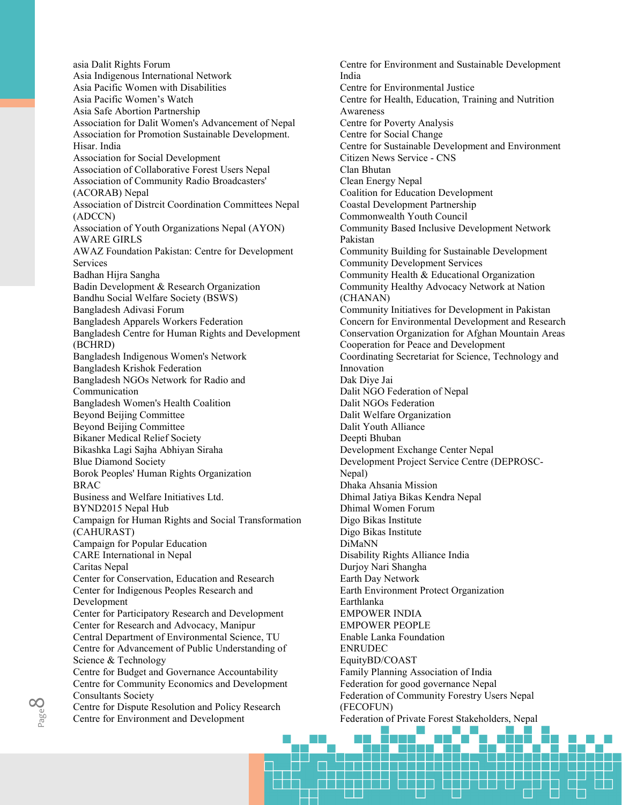$\frac{60}{R}$  Centre for Environment and Development Centre for Dispute Resolution and Policy Research asia Dalit Rights Forum Asia Indigenous International Network Asia Pacific Women with Disabilities Asia Pacific Women's Watch Asia Safe Abortion Partnership Association for Dalit Women's Advancement of Nepal Association for Promotion Sustainable Development. Hisar. India Association for Social Development Association of Collaborative Forest Users Nepal Association of Community Radio Broadcasters' (ACORAB) Nepal Association of Distrcit Coordination Committees Nepal (ADCCN) Association of Youth Organizations Nepal (AYON) AWARE GIRLS AWAZ Foundation Pakistan: Centre for Development Services Badhan Hijra Sangha Badin Development & Research Organization Bandhu Social Welfare Society (BSWS) Bangladesh Adivasi Forum Bangladesh Apparels Workers Federation Bangladesh Centre for Human Rights and Development (BCHRD) Bangladesh Indigenous Women's Network Bangladesh Krishok Federation Bangladesh NGOs Network for Radio and Communication Bangladesh Women's Health Coalition Beyond Beijing Committee Beyond Beijing Committee Bikaner Medical Relief Society Bikashka Lagi Sajha Abhiyan Siraha Blue Diamond Society Borok Peoples' Human Rights Organization BRAC Business and Welfare Initiatives Ltd. BYND2015 Nepal Hub Campaign for Human Rights and Social Transformation (CAHURAST) Campaign for Popular Education CARE International in Nepal Caritas Nepal Center for Conservation, Education and Research Center for Indigenous Peoples Research and Development Center for Participatory Research and Development Center for Research and Advocacy, Manipur Central Department of Environmental Science, TU Centre for Advancement of Public Understanding of Science & Technology Centre for Budget and Governance Accountability Centre for Community Economics and Development Consultants Society

Centre for Environment and Sustainable Development India Centre for Environmental Justice Centre for Health, Education, Training and Nutrition Awareness Centre for Poverty Analysis Centre for Social Change Centre for Sustainable Development and Environment Citizen News Service - CNS Clan Bhutan Clean Energy Nepal Coalition for Education Development Coastal Development Partnership Commonwealth Youth Council Community Based Inclusive Development Network Pakistan Community Building for Sustainable Development Community Development Services Community Health & Educational Organization Community Healthy Advocacy Network at Nation (CHANAN) Community Initiatives for Development in Pakistan Concern for Environmental Development and Research Conservation Organization for Afghan Mountain Areas Cooperation for Peace and Development Coordinating Secretariat for Science, Technology and Innovation Dak Diye Jai Dalit NGO Federation of Nepal Dalit NGOs Federation Dalit Welfare Organization Dalit Youth Alliance Deepti Bhuban Development Exchange Center Nepal Development Project Service Centre (DEPROSC-Nepal) Dhaka Ahsania Mission Dhimal Jatiya Bikas Kendra Nepal Dhimal Women Forum Digo Bikas Institute Digo Bikas Institute DiMaNN Disability Rights Alliance India Durjoy Nari Shangha Earth Day Network Earth Environment Protect Organization Earthlanka EMPOWER INDIA EMPOWER PEOPLE Enable Lanka Foundation ENRUDEC EquityBD/COAST Family Planning Association of India Federation for good governance Nepal Federation of Community Forestry Users Nepal (FECOFUN) Federation of Private Forest Stakeholders, Nepal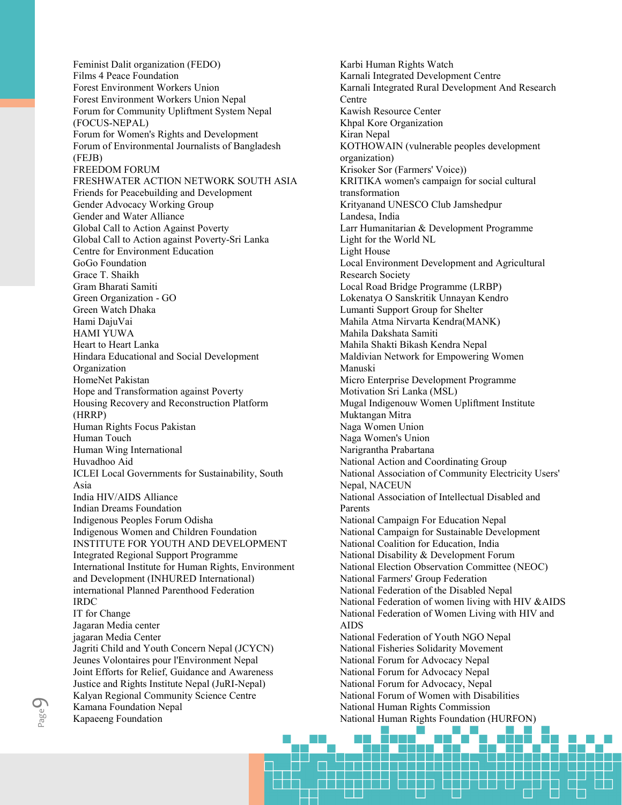$\frac{60}{20}$  Kanadation Nepar Feminist Dalit organization (FEDO) Films 4 Peace Foundation Forest Environment Workers Union Forest Environment Workers Union Nepal Forum for Community Upliftment System Nepal (FOCUS-NEPAL) Forum for Women's Rights and Development Forum of Environmental Journalists of Bangladesh (FEJB) FREEDOM FORUM FRESHWATER ACTION NETWORK SOUTH ASIA Friends for Peacebuilding and Development Gender Advocacy Working Group Gender and Water Alliance Global Call to Action Against Poverty Global Call to Action against Poverty-Sri Lanka Centre for Environment Education GoGo Foundation Grace T. Shaikh Gram Bharati Samiti Green Organization - GO Green Watch Dhaka Hami DajuVai HAMI YUWA Heart to Heart Lanka Hindara Educational and Social Development Organization HomeNet Pakistan Hope and Transformation against Poverty Housing Recovery and Reconstruction Platform (HRRP) Human Rights Focus Pakistan Human Touch Human Wing International Huvadhoo Aid ICLEI Local Governments for Sustainability, South Asia India HIV/AIDS Alliance Indian Dreams Foundation Indigenous Peoples Forum Odisha Indigenous Women and Children Foundation INSTITUTE FOR YOUTH AND DEVELOPMENT Integrated Regional Support Programme International Institute for Human Rights, Environment and Development (INHURED International) international Planned Parenthood Federation IRDC IT for Change Jagaran Media center jagaran Media Center Jagriti Child and Youth Concern Nepal (JCYCN) Jeunes Volontaires pour l'Environment Nepal Joint Efforts for Relief, Guidance and Awareness Justice and Rights Institute Nepal (JuRI-Nepal) Kalyan Regional Community Science Centre Kamana Foundation Nepal

Karbi Human Rights Watch Karnali Integrated Development Centre Karnali Integrated Rural Development And Research **Centre** Kawish Resource Center Khpal Kore Organization Kiran Nepal KOTHOWAIN (vulnerable peoples development organization) Krisoker Sor (Farmers' Voice)) KRITIKA women's campaign for social cultural transformation Krityanand UNESCO Club Jamshedpur Landesa, India Larr Humanitarian & Development Programme Light for the World NL Light House Local Environment Development and Agricultural Research Society Local Road Bridge Programme (LRBP) Lokenatya O Sanskritik Unnayan Kendro Lumanti Support Group for Shelter Mahila Atma Nirvarta Kendra(MANK) Mahila Dakshata Samiti Mahila Shakti Bikash Kendra Nepal Maldivian Network for Empowering Women Manuski Micro Enterprise Development Programme Motivation Sri Lanka (MSL) Mugal Indigenouw Women Upliftment Institute Muktangan Mitra Naga Women Union Naga Women's Union Narigrantha Prabartana National Action and Coordinating Group National Association of Community Electricity Users' Nepal, NACEUN National Association of Intellectual Disabled and Parents National Campaign For Education Nepal National Campaign for Sustainable Development National Coalition for Education, India National Disability & Development Forum National Election Observation Committee (NEOC) National Farmers' Group Federation National Federation of the Disabled Nepal National Federation of women living with HIV &AIDS National Federation of Women Living with HIV and AIDS National Federation of Youth NGO Nepal National Fisheries Solidarity Movement National Forum for Advocacy Nepal National Forum for Advocacy Nepal National Forum for Advocacy, Nepal National Forum of Women with Disabilities National Human Rights Commission National Human Rights Foundation (HURFON)

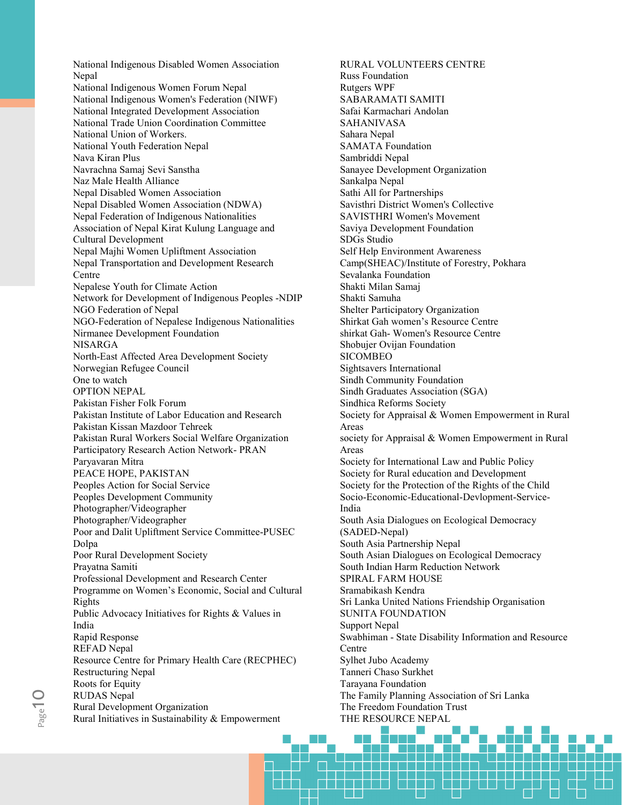**Q**<br>
Rural Development Organization<br>
Rural Initiatives in Sustainability & Empowerment National Indigenous Disabled Women Association Nepal National Indigenous Women Forum Nepal National Indigenous Women's Federation (NIWF) National Integrated Development Association National Trade Union Coordination Committee National Union of Workers. National Youth Federation Nepal Nava Kiran Plus Navrachna Samaj Sevi Sanstha Naz Male Health Alliance Nepal Disabled Women Association Nepal Disabled Women Association (NDWA) Nepal Federation of Indigenous Nationalities Association of Nepal Kirat Kulung Language and Cultural Development Nepal Majhi Women Upliftment Association Nepal Transportation and Development Research Centre Nepalese Youth for Climate Action Network for Development of Indigenous Peoples -NDIP NGO Federation of Nepal NGO-Federation of Nepalese Indigenous Nationalities Nirmanee Development Foundation NISARGA North-East Affected Area Development Society Norwegian Refugee Council One to watch OPTION NEPAL Pakistan Fisher Folk Forum Pakistan Institute of Labor Education and Research Pakistan Kissan Mazdoor Tehreek Pakistan Rural Workers Social Welfare Organization Participatory Research Action Network- PRAN Paryavaran Mitra PEACE HOPE, PAKISTAN Peoples Action for Social Service Peoples Development Community Photographer/Videographer Photographer/Videographer Poor and Dalit Upliftment Service Committee-PUSEC Dolpa Poor Rural Development Society Prayatna Samiti Professional Development and Research Center Programme on Women's Economic, Social and Cultural Rights Public Advocacy Initiatives for Rights & Values in India Rapid Response REFAD Nepal Resource Centre for Primary Health Care (RECPHEC) Restructuring Nepal Roots for Equity RUDAS Nepal Rural Development Organization

RURAL VOLUNTEERS CENTRE Russ Foundation Rutgers WPF SABARAMATI SAMITI Safai Karmachari Andolan SAHANIVASA Sahara Nepal SAMATA Foundation Sambriddi Nepal Sanayee Development Organization Sankalpa Nepal Sathi All for Partnerships Savisthri District Women's Collective SAVISTHRI Women's Movement Saviya Development Foundation SDGs Studio Self Help Environment Awareness Camp(SHEAC)/Institute of Forestry, Pokhara Sevalanka Foundation Shakti Milan Samaj Shakti Samuha Shelter Participatory Organization Shirkat Gah women's Resource Centre shirkat Gah- Women's Resource Centre Shobujer Ovijan Foundation SICOMBEO Sightsavers International Sindh Community Foundation Sindh Graduates Association (SGA) Sindhica Reforms Society Society for Appraisal & Women Empowerment in Rural Areas society for Appraisal & Women Empowerment in Rural Areas Society for International Law and Public Policy Society for Rural education and Development Society for the Protection of the Rights of the Child Socio-Economic-Educational-Devlopment-Service-India South Asia Dialogues on Ecological Democracy (SADED-Nepal) South Asia Partnership Nepal South Asian Dialogues on Ecological Democracy South Indian Harm Reduction Network SPIRAL FARM HOUSE Sramabikash Kendra Sri Lanka United Nations Friendship Organisation SUNITA FOUNDATION Support Nepal Swabhiman - State Disability Information and Resource Centre Sylhet Jubo Academy Tanneri Chaso Surkhet Tarayana Foundation The Family Planning Association of Sri Lanka The Freedom Foundation Trust THE RESOURCE NEPAL